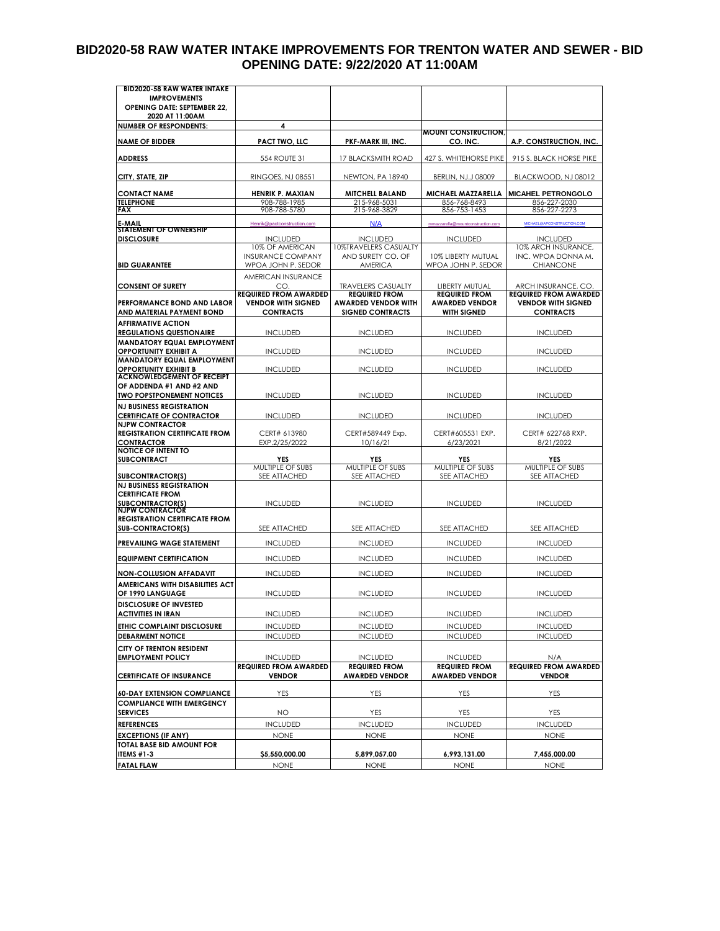# **BID2020-58 RAW WATER INTAKE IMPROVEMENTS FOR TRENTON WATER AND SEWER - BID OPENING DATE: 9/22/2020 AT 11:00AM**

| 2020 AT 11:00AM<br><b>NUMBER OF RESPONDENTS:</b><br>4<br><b>MOUNT CONSTRUCTION,</b><br><b>NAME OF BIDDER</b><br>PACT TWO, LLC<br><b>PKF-MARK III. INC.</b><br>CO. INC.<br>A.P. CONSTRUCTION, INC.<br>915 S. BLACK HORSE PIKE<br><b>ADDRESS</b><br>554 ROUTE 31<br><b>17 BLACKSMITH ROAD</b><br>427 S. WHITEHORSE PIKE<br>NEWTON, PA 18940<br>BERLIN, NJ.J 08009<br>BLACKWOOD, NJ 08012<br><b>RINGOES, NJ 08551</b><br>CITY, STATE, ZIP<br><b>CONTACT NAME</b><br>HENRIK P. MAXIAN<br><b>MITCHELL BALAND</b><br>MICHAEL MAZZARELLA<br><b>MICAHEL PETRONGOLO</b><br><b>TELEPHONE</b><br>908-788-1985<br>215-968-5031<br>856-768-8493<br>856-227-2030<br>908-788-5780<br>215-968-3829<br>856-753-1453<br>856-227-2273<br><b>FAX</b><br>N/A<br>E-MAIL<br>mmazzarella@mountconstruction.com<br>MICHAEL@APCONSTRUCTION.COM |  |
|----------------------------------------------------------------------------------------------------------------------------------------------------------------------------------------------------------------------------------------------------------------------------------------------------------------------------------------------------------------------------------------------------------------------------------------------------------------------------------------------------------------------------------------------------------------------------------------------------------------------------------------------------------------------------------------------------------------------------------------------------------------------------------------------------------------------|--|
|                                                                                                                                                                                                                                                                                                                                                                                                                                                                                                                                                                                                                                                                                                                                                                                                                      |  |
|                                                                                                                                                                                                                                                                                                                                                                                                                                                                                                                                                                                                                                                                                                                                                                                                                      |  |
|                                                                                                                                                                                                                                                                                                                                                                                                                                                                                                                                                                                                                                                                                                                                                                                                                      |  |
|                                                                                                                                                                                                                                                                                                                                                                                                                                                                                                                                                                                                                                                                                                                                                                                                                      |  |
|                                                                                                                                                                                                                                                                                                                                                                                                                                                                                                                                                                                                                                                                                                                                                                                                                      |  |
|                                                                                                                                                                                                                                                                                                                                                                                                                                                                                                                                                                                                                                                                                                                                                                                                                      |  |
|                                                                                                                                                                                                                                                                                                                                                                                                                                                                                                                                                                                                                                                                                                                                                                                                                      |  |
| Henrik@pactconstruction.com                                                                                                                                                                                                                                                                                                                                                                                                                                                                                                                                                                                                                                                                                                                                                                                          |  |
| <b>STATEMENT OF OWNERSHIP</b>                                                                                                                                                                                                                                                                                                                                                                                                                                                                                                                                                                                                                                                                                                                                                                                        |  |
| <b>DISCLOSURE</b><br><b>INCLUDED</b><br><b>INCLUDED</b><br><b>INCLUDED</b><br><b>INCLUDED</b><br>10% OF AMERICAN<br>10%TRAVELERS CASUALTY<br>10% ARCH INSURANCE.                                                                                                                                                                                                                                                                                                                                                                                                                                                                                                                                                                                                                                                     |  |
| AND SURETY CO. OF<br><b>INSURANCE COMPANY</b><br>INC. WPOA DONNA M.<br>10% LIBERTY MUTUAL<br><b>BID GUARANTEE</b><br>WPOA JOHN P. SEDOR<br><b>AMERICA</b><br>WPOA JOHN P. SEDOR<br><b>CHIANCONE</b>                                                                                                                                                                                                                                                                                                                                                                                                                                                                                                                                                                                                                  |  |
| AMERICAN INSURANCE<br>LIBERTY MUTUAL<br><b>CONSENT OF SURETY</b><br><b>TRAVELERS CASUALTY</b><br>ARCH INSURANCE, CO.<br>CO.<br><b>REQUIRED FROM AWARDED</b><br><b>REQUIRED FROM</b><br><b>REQUIRED FROM</b><br><b>REQUIRED FROM AWARDED</b>                                                                                                                                                                                                                                                                                                                                                                                                                                                                                                                                                                          |  |
| PERFORMANCE BOND AND LABOR<br><b>VENDOR WITH SIGNED</b><br><b>AWARDED VENDOR WITH</b><br><b>AWARDED VENDOR</b><br><b>VENDOR WITH SIGNED</b><br><b>SIGNED CONTRACTS</b><br><b>WITH SIGNED</b><br>AND MATERIAL PAYMENT BOND<br><b>CONTRACTS</b><br><b>CONTRACTS</b>                                                                                                                                                                                                                                                                                                                                                                                                                                                                                                                                                    |  |
| <b>AFFIRMATIVE ACTION</b><br><b>REGULATIONS QUESTIONAIRE</b><br><b>INCLUDED</b><br><b>INCLUDED</b><br><b>INCLUDED</b><br><b>INCLUDED</b>                                                                                                                                                                                                                                                                                                                                                                                                                                                                                                                                                                                                                                                                             |  |
| <b>MANDATORY EQUAL EMPLOYMENT</b>                                                                                                                                                                                                                                                                                                                                                                                                                                                                                                                                                                                                                                                                                                                                                                                    |  |
| OPPORTUNITY EXHIBIT A<br><b>INCLUDED</b><br><b>INCLUDED</b><br><b>INCLUDED</b><br><b>INCLUDED</b><br>MANDATORY EQUAL EMPLOYMENT                                                                                                                                                                                                                                                                                                                                                                                                                                                                                                                                                                                                                                                                                      |  |
| <b>OPPORTUNITY EXHIBIT B</b><br><b>INCLUDED</b><br><b>INCLUDED</b><br><b>INCLUDED</b><br><b>INCLUDED</b><br><b>ACKNOWLEDGEMENT OF RECEIPT</b>                                                                                                                                                                                                                                                                                                                                                                                                                                                                                                                                                                                                                                                                        |  |
| OF ADDENDA #1 AND #2 AND<br><b>TWO POPSTPONEMENT NOTICES</b><br><b>INCLUDED</b><br><b>INCLUDED</b><br><b>INCLUDED</b><br><b>INCLUDED</b>                                                                                                                                                                                                                                                                                                                                                                                                                                                                                                                                                                                                                                                                             |  |
| <b>NJ BUSINESS REGISTRATION</b><br><b>CERTIFICATE OF CONTRACTOR</b><br><b>INCLUDED</b><br><b>INCLUDED</b><br><b>INCLUDED</b><br><b>INCLUDED</b><br><b>NJPW CONTRACTOR</b>                                                                                                                                                                                                                                                                                                                                                                                                                                                                                                                                                                                                                                            |  |
| <b>REGISTRATION CERTIFICATE FROM</b><br>CERT#589449 Exp.<br>CERT#605531 EXP.<br>CERT# 622768 RXP.<br>CERT# 613980<br><b>CONTRACTOR</b><br>8/21/2022<br>EXP.2/25/2022<br>10/16/21<br>6/23/2021                                                                                                                                                                                                                                                                                                                                                                                                                                                                                                                                                                                                                        |  |
| <b>NOTICE OF INTENT TO</b>                                                                                                                                                                                                                                                                                                                                                                                                                                                                                                                                                                                                                                                                                                                                                                                           |  |
| <b>SUBCONTRACT</b><br><b>YES</b><br>YES<br><b>YES</b><br>YES<br>MULTIPLE OF SUBS<br>MULTIPLE OF SUBS<br>MULTIPLE OF SUBS<br>MULTIPLE OF SUBS                                                                                                                                                                                                                                                                                                                                                                                                                                                                                                                                                                                                                                                                         |  |
| <b>SUBCONTRACTOR(S)</b><br>SEE ATTACHED<br><b>SEE ATTACHED</b><br>SEE ATTACHED<br>SEE ATTACHED                                                                                                                                                                                                                                                                                                                                                                                                                                                                                                                                                                                                                                                                                                                       |  |
| <b>NJ BUSINESS REGISTRATION</b><br><b>CERTIFICATE FROM</b>                                                                                                                                                                                                                                                                                                                                                                                                                                                                                                                                                                                                                                                                                                                                                           |  |
| <b>SUBCONTRACTOR(S)</b><br><b>INCLUDED</b><br><b>INCLUDED</b><br><b>INCLUDED</b><br><b>INCLUDED</b><br><b>NJPW CONTRACTOR</b>                                                                                                                                                                                                                                                                                                                                                                                                                                                                                                                                                                                                                                                                                        |  |
| <b>REGISTRATION CERTIFICATE FROM</b><br><b>SUB-CONTRACTOR(S)</b><br>SEE ATTACHED<br>SEE ATTACHED<br>SEE ATTACHED<br>SEE ATTACHED                                                                                                                                                                                                                                                                                                                                                                                                                                                                                                                                                                                                                                                                                     |  |
| <b>INCLUDED</b><br><b>INCLUDED</b><br><b>INCLUDED</b><br>PREVAILING WAGE STATEMENT<br><b>INCLUDED</b>                                                                                                                                                                                                                                                                                                                                                                                                                                                                                                                                                                                                                                                                                                                |  |
| <b>INCLUDED</b><br><b>INCLUDED</b><br><b>INCLUDED</b><br><b>EQUIPMENT CERTIFICATION</b><br><b>INCLUDED</b>                                                                                                                                                                                                                                                                                                                                                                                                                                                                                                                                                                                                                                                                                                           |  |
| <b>NON-COLLUSION AFFADAVIT</b><br><b>INCLUDED</b><br><b>INCLUDED</b><br><b>INCLUDED</b><br><b>INCLUDED</b>                                                                                                                                                                                                                                                                                                                                                                                                                                                                                                                                                                                                                                                                                                           |  |
| <b>AMERICANS WITH DISABILITIES ACT</b><br><b>INCLUDED</b><br><b>INCLUDED</b><br><b>INCLUDED</b><br><b>INCLUDED</b><br>OF 1990 LANGUAGE                                                                                                                                                                                                                                                                                                                                                                                                                                                                                                                                                                                                                                                                               |  |
| <b>DISCLOSURE OF INVESTED</b><br><b>INCLUDED</b><br><b>INCLUDED</b><br><b>INCLUDED</b><br><b>INCLUDED</b><br><b>ACTIVITIES IN IRAN</b>                                                                                                                                                                                                                                                                                                                                                                                                                                                                                                                                                                                                                                                                               |  |
| <b>INCLUDED</b><br><b>INCLUDED</b><br><b>ETHIC COMPLAINT DISCLOSURE</b><br><b>INCLUDED</b><br><b>INCLUDED</b>                                                                                                                                                                                                                                                                                                                                                                                                                                                                                                                                                                                                                                                                                                        |  |
| <b>DEBARMENT NOTICE</b><br><b>INCLUDED</b><br><b>INCLUDED</b><br><b>INCLUDED</b><br><b>INCLUDED</b>                                                                                                                                                                                                                                                                                                                                                                                                                                                                                                                                                                                                                                                                                                                  |  |
| <b>CITY OF TRENTON RESIDENT</b><br>N/A<br><b>EMPLOYMENT POLICY</b><br><b>INCLUDED</b><br><b>INCLUDED</b><br><b>INCLUDED</b>                                                                                                                                                                                                                                                                                                                                                                                                                                                                                                                                                                                                                                                                                          |  |
|                                                                                                                                                                                                                                                                                                                                                                                                                                                                                                                                                                                                                                                                                                                                                                                                                      |  |
| <b>REQUIRED FROM AWARDED</b><br><b>REQUIRED FROM AWARDED</b><br><b>REQUIRED FROM</b><br><b>REQUIRED FROM</b>                                                                                                                                                                                                                                                                                                                                                                                                                                                                                                                                                                                                                                                                                                         |  |
| <b>CERTIFICATE OF INSURANCE</b><br><b>VENDOR</b><br><b>AWARDED VENDOR</b><br><b>AWARDED VENDOR</b><br><b>VENDOR</b>                                                                                                                                                                                                                                                                                                                                                                                                                                                                                                                                                                                                                                                                                                  |  |
| YES<br>YES<br><b>YES</b><br>YES<br><b>60-DAY EXTENSION COMPLIANCE</b><br><b>COMPLIANCE WITH EMERGENCY</b>                                                                                                                                                                                                                                                                                                                                                                                                                                                                                                                                                                                                                                                                                                            |  |
| YES<br>YES<br>NO.<br><b>YES</b><br><b>SERVICES</b>                                                                                                                                                                                                                                                                                                                                                                                                                                                                                                                                                                                                                                                                                                                                                                   |  |
| <b>INCLUDED</b><br><b>INCLUDED</b><br><b>REFERENCES</b><br><b>INCLUDED</b><br><b>INCLUDED</b>                                                                                                                                                                                                                                                                                                                                                                                                                                                                                                                                                                                                                                                                                                                        |  |
| <b>EXCEPTIONS (IF ANY)</b><br><b>NONE</b><br><b>NONE</b><br><b>NONE</b><br><b>NONE</b><br>TOTAL BASE BID AMOUNT FOR                                                                                                                                                                                                                                                                                                                                                                                                                                                                                                                                                                                                                                                                                                  |  |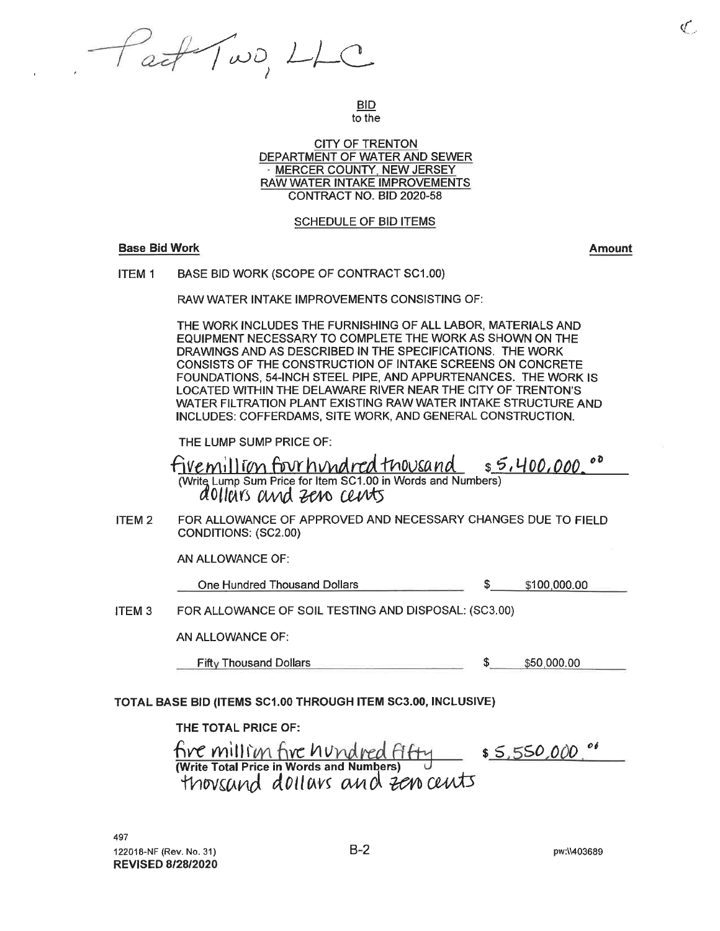Part Two, LLC

#### **BID** to the

#### **CITY OF TRENTON** DEPARTMENT OF WATER AND SEWER MERCER COUNTY, NEW JERSEY RAW WATER INTAKE IMPROVEMENTS CONTRACT NO. BID 2020-58

### **SCHEDULE OF BID ITEMS**

#### **Base Bid Work**

Amount

 $\mathcal{C}$  .

**ITEM1** BASE BID WORK (SCOPE OF CONTRACT SC1.00)

**RAW WATER INTAKE IMPROVEMENTS CONSISTING OF:** 

THE WORK INCLUDES THE FURNISHING OF ALL LABOR, MATERIALS AND EQUIPMENT NECESSARY TO COMPLETE THE WORK AS SHOWN ON THE DRAWINGS AND AS DESCRIBED IN THE SPECIFICATIONS. THE WORK CONSISTS OF THE CONSTRUCTION OF INTAKE SCREENS ON CONCRETE FOUNDATIONS, 54-INCH STEEL PIPE, AND APPURTENANCES. THE WORK IS LOCATED WITHIN THE DELAWARE RIVER NEAR THE CITY OF TRENTON'S WATER FILTRATION PLANT EXISTING RAW WATER INTAKE STRUCTURE AND INCLUDES: COFFERDAMS, SITE WORK, AND GENERAL CONSTRUCTION.

THE LUMP SUMP PRICE OF:

 $$5,400,000$ .00 <u>fivemillion four hundred thousand</u> (Write Lump Sum Price for Item SC1.00 in Words and Numbers) d'Ollars and zens cents

FOR ALLOWANCE OF APPROVED AND NECESSARY CHANGES DUE TO FIELD ITEM<sub>2</sub> CONDITIONS: (SC2.00)

AN ALLOWANCE OF:

One Hundred Thousand Dollars \$100,000,00 \$

FOR ALLOWANCE OF SOIL TESTING AND DISPOSAL: (SC3.00) **ITEM3** 

AN ALLOWANCE OF:

\$50,000.00 **Fifty Thousand Dollars** \$

TOTAL BASE BID (ITEMS SC1.00 THROUGH ITEM SC3.00, INCLUSIVE)

THE TOTAL PRICE OF:

| fire million fire hundred fifty          | $$5,550,000$ of |
|------------------------------------------|-----------------|
| (Write Total Price in Words and Numbers) |                 |
| thousand dollars and zero cents          |                 |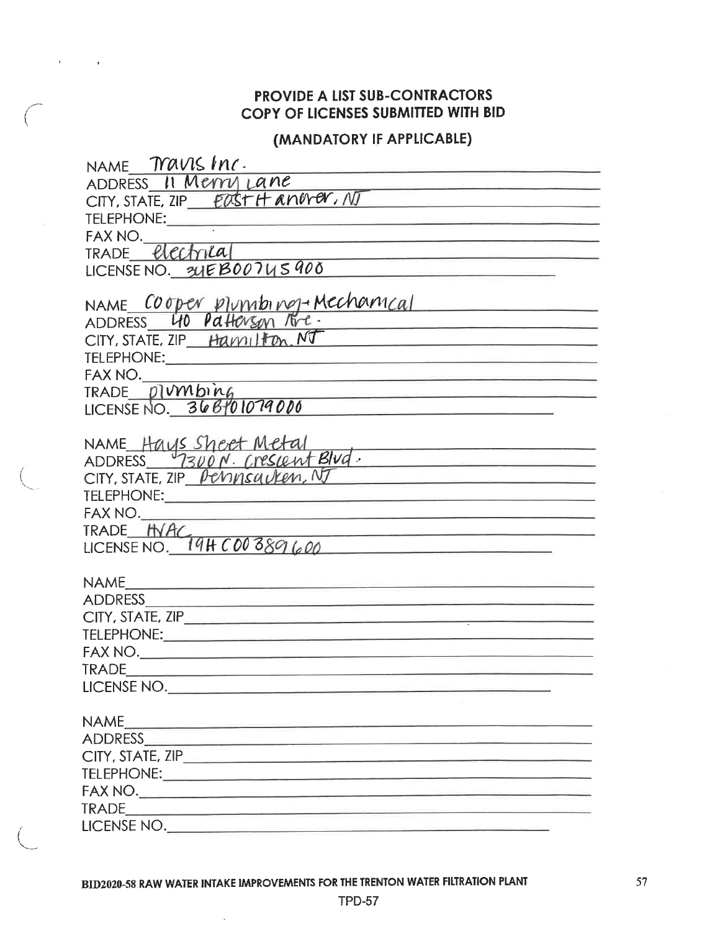# **PROVIDE A LIST SUB-CONTRACTORS** COPY OF LICENSES SUBMITTED WITH BID

(MANDATORY IF APPLICABLE)

| NAME Travis Inc.                                                                                                                                                                                                                                   |
|----------------------------------------------------------------------------------------------------------------------------------------------------------------------------------------------------------------------------------------------------|
| ADDRESS II Merry Lane                                                                                                                                                                                                                              |
| $CITY$ , STATE, ZIP $RX + A$                                                                                                                                                                                                                       |
| TELEPHONE: And the state of the state of the state of the state of the state of the state of the state of the                                                                                                                                      |
| FAX NO.                                                                                                                                                                                                                                            |
| TRADE electrical                                                                                                                                                                                                                                   |
| LICENSE NO. 34EB00745900                                                                                                                                                                                                                           |
|                                                                                                                                                                                                                                                    |
| NAME Cooper plumbing-Mechanical                                                                                                                                                                                                                    |
| ADDRESS 40 Patterson Not.                                                                                                                                                                                                                          |
| $CITY$ , STATE, ZIP Hamilton. $NT$                                                                                                                                                                                                                 |
|                                                                                                                                                                                                                                                    |
| FAX NO.<br><u> 1989 - Johann Barnett, fransk politik</u>                                                                                                                                                                                           |
| TRADE plumbing                                                                                                                                                                                                                                     |
| LICENSE NO. 368101079000                                                                                                                                                                                                                           |
|                                                                                                                                                                                                                                                    |
| NAME Hays Sheet Metal<br>ADDRESS 7300N Cresient Blud.                                                                                                                                                                                              |
|                                                                                                                                                                                                                                                    |
| CITY, STATE, ZIP PEMPISULEM, NJ                                                                                                                                                                                                                    |
| TELEPHONE: And the actual and the second state of the second state of the second state of the second state of the second state of the second state of the second state of the second state of the second state of the second s                     |
| FAX NO.<br><u> 1989 - Andrea Stationer, Amerikaansk politiker (</u>                                                                                                                                                                                |
| TRADE HYAC<br><u> The Common State Common State Common State Common State Common State Common State Common State Common State Common State Common State Common State Common State Common State Common State Common State Common State Common S</u> |
| LICENSE NO. 19H COO 389 600                                                                                                                                                                                                                        |
|                                                                                                                                                                                                                                                    |
| <b>NAME</b>                                                                                                                                                                                                                                        |
| ADDRESS ADDRESS                                                                                                                                                                                                                                    |
|                                                                                                                                                                                                                                                    |
| TELEPHONE: New York Contract and Contract Contract of the Contract of the Contract of the Contract of the Contract of the Contract of the Contract of the Contract of the Contract of the Contract of the Contract of the Cont                     |
| FAX NO.                                                                                                                                                                                                                                            |
| <b>TRADE</b>                                                                                                                                                                                                                                       |
| LICENSE NO.                                                                                                                                                                                                                                        |
|                                                                                                                                                                                                                                                    |
| <b>NAME</b>                                                                                                                                                                                                                                        |
|                                                                                                                                                                                                                                                    |
|                                                                                                                                                                                                                                                    |
|                                                                                                                                                                                                                                                    |
|                                                                                                                                                                                                                                                    |
|                                                                                                                                                                                                                                                    |
| LICENSE NO.                                                                                                                                                                                                                                        |

l,

**TPD-57**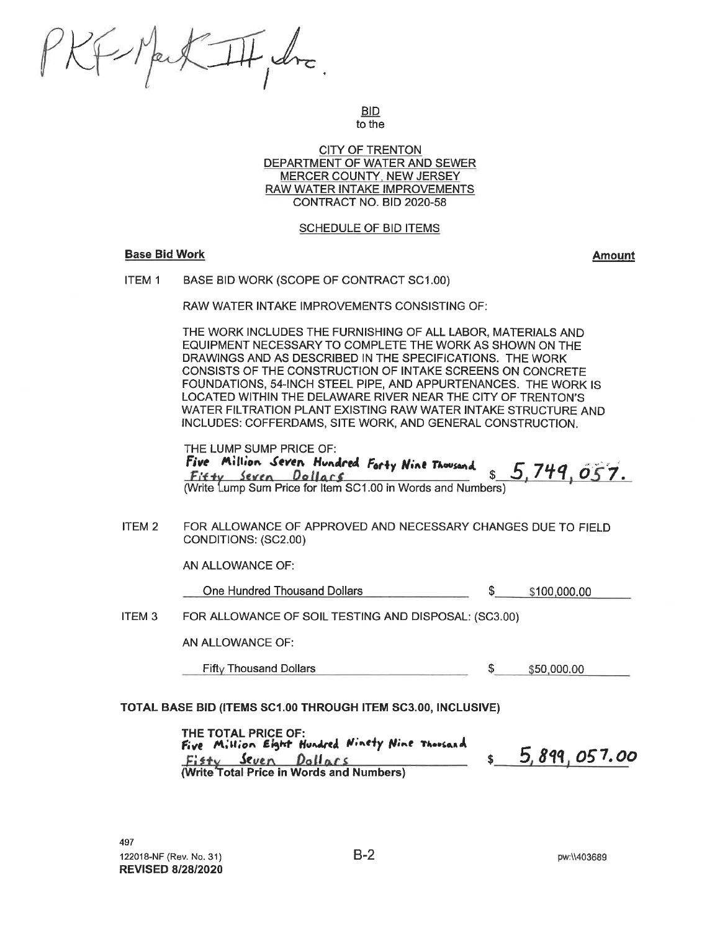F-Mai  $\Box H$ 

#### **BID** to the

#### **CITY OF TRENTON** DEPARTMENT OF WATER AND SEWER **MERCER COUNTY, NEW JERSEY** RAW WATER INTAKE IMPROVEMENTS CONTRACT NO. BID 2020-58

#### SCHEDULE OF BID ITEMS

#### **Base Bid Work**

**Amount** 

BASE BID WORK (SCOPE OF CONTRACT SC1.00) ITEM<sub>1</sub>

RAW WATER INTAKE IMPROVEMENTS CONSISTING OF:

THE WORK INCLUDES THE FURNISHING OF ALL LABOR, MATERIALS AND EQUIPMENT NECESSARY TO COMPLETE THE WORK AS SHOWN ON THE DRAWINGS AND AS DESCRIBED IN THE SPECIFICATIONS. THE WORK CONSISTS OF THE CONSTRUCTION OF INTAKE SCREENS ON CONCRETE FOUNDATIONS, 54-INCH STEEL PIPE, AND APPURTENANCES. THE WORK IS LOCATED WITHIN THE DELAWARE RIVER NEAR THE CITY OF TRENTON'S WATER FILTRATION PLANT EXISTING RAW WATER INTAKE STRUCTURE AND INCLUDES: COFFERDAMS, SITE WORK, AND GENERAL CONSTRUCTION.

THE LUMP SUMP PRICE OF:

Five Million Seven Hundred Forty Nine Thousand 5,749,057.  $\hat{\mathbf{s}}$ Fifty Seven Dollars (Write Lump Sum Price for Item SC1.00 in Words and Numbers)

ITEM<sub>2</sub> FOR ALLOWANCE OF APPROVED AND NECESSARY CHANGES DUE TO FIELD CONDITIONS: (SC2.00)

AN ALLOWANCE OF:

 $s$ One Hundred Thousand Dollars \$100,000.00

ITEM<sub>3</sub> FOR ALLOWANCE OF SOIL TESTING AND DISPOSAL: (SC3.00)

AN ALLOWANCE OF:

**Fifty Thousand Dollars** \$ \$50,000.00

## TOTAL BASE BID (ITEMS SC1.00 THROUGH ITEM SC3.00, INCLUSIVE)

THE TOTAL PRICE OF: Five Million Eight Hundred Ninety Nine Thousand 5,899,057.00 Fisty Seven Dollars (Write Total Price in Words and Numbers)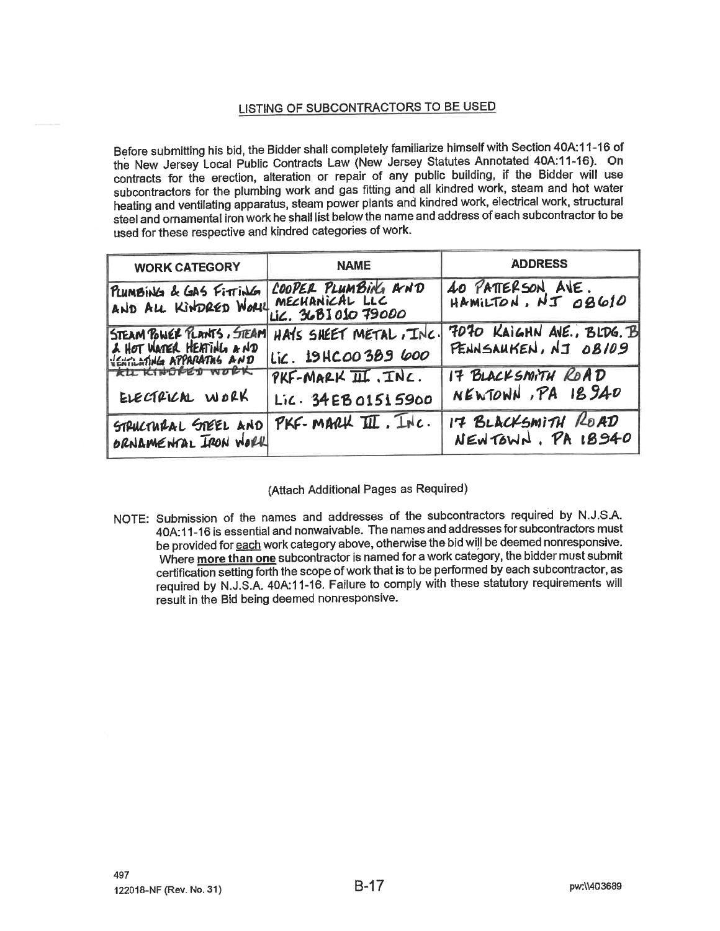# LISTING OF SUBCONTRACTORS TO BE USED

Before submitting his bid, the Bidder shall completely familiarize himself with Section 40A:11-16 of the New Jersey Local Public Contracts Law (New Jersey Statutes Annotated 40A:11-16). On contracts for the erection, alteration or repair of any public building, if the Bidder will use subcontractors for the plumbing work and gas fitting and all kindred work, steam and hot water heating and ventilating apparatus, steam power plants and kindred work, electrical work, structural steel and ornamental iron work he shall list below the name and address of each subcontractor to be used for these respective and kindred categories of work.

| <b>WORK CATEGORY</b>                                                               | <b>NAME</b>                                                | <b>ADDRESS</b>                                    |
|------------------------------------------------------------------------------------|------------------------------------------------------------|---------------------------------------------------|
| PLUMBING & GAS FITTING<br>AND ALL KINDRED WORK                                     | COOPER PLUMBING AND<br>MECHANICAL LLC<br>Lic. 36B101079000 | 40 PATTERSON AVE.<br>HAMILTON, NJ 08610           |
| STEAM POWER PLANTS, STEAM<br>2 HOT WATER HEATING & ND<br>VENTILATING APPARATUS AND | HAYS SHEET METAL, INC.<br>Lic. 19HCOO389 600               | 7070 KAIGHN AVE., BLDG. B<br>PENNSAUKEN, NJ 08109 |
| KU KINOPED WORK<br>ELECTRICAL WORK                                                 | PKF-MARK III. INC.<br>Lic. 34EB01515900                    | 17 BLACKSMITH ROAD<br>NEWTONN, PA 18940           |
| STRUCTURAL STEEL AND<br>ORNAMENTAL IRON WORK                                       | PKF-MARK III. INC.                                         | 17 BLACKSMITH ROAD<br>NEWTOWN. PA 18940           |

# (Attach Additional Pages as Required)

NOTE: Submission of the names and addresses of the subcontractors required by N.J.S.A. 40A:11-16 is essential and nonwaivable. The names and addresses for subcontractors must be provided for each work category above, otherwise the bid will be deemed nonresponsive. Where more than one subcontractor is named for a work category, the bidder must submit certification setting forth the scope of work that is to be performed by each subcontractor, as required by N.J.S.A. 40A:11-16. Failure to comply with these statutory requirements will result in the Bid being deemed nonresponsive.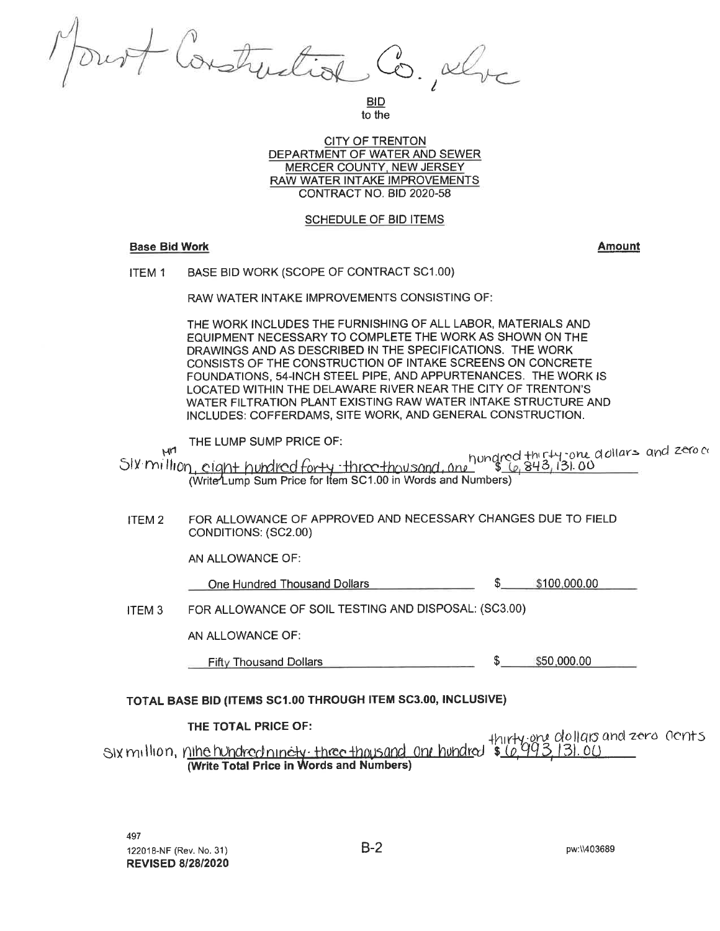A Construction

**BID** to the

#### **CITY OF TRENTON** DEPARTMENT OF WATER AND SEWER MERCER COUNTY, NEW JERSEY RAW WATER INTAKE IMPROVEMENTS CONTRACT NO. BID 2020-58

## SCHEDULE OF BID ITEMS

#### **Base Bid Work**

**Amount** 

BASE BID WORK (SCOPE OF CONTRACT SC1.00) ITEM<sub>1</sub>

RAW WATER INTAKE IMPROVEMENTS CONSISTING OF:

THE WORK INCLUDES THE FURNISHING OF ALL LABOR, MATERIALS AND EQUIPMENT NECESSARY TO COMPLETE THE WORK AS SHOWN ON THE DRAWINGS AND AS DESCRIBED IN THE SPECIFICATIONS. THE WORK CONSISTS OF THE CONSTRUCTION OF INTAKE SCREENS ON CONCRETE FOUNDATIONS, 54-INCH STEEL PIPE, AND APPURTENANCES. THE WORK IS LOCATED WITHIN THE DELAWARE RIVER NEAR THE CITY OF TRENTON'S WATER FILTRATION PLANT EXISTING RAW WATER INTAKE STRUCTURE AND INCLUDES: COFFERDAMS, SITE WORK, AND GENERAL CONSTRUCTION.

THE LUMP SUMP PRICE OF:

hundred thirty one dollars and zero a  $M<sub>1</sub>$ SIX million, cight hundred forty three thousand, and " (Write Lump Sum Price for Item SC1.00 in Words and Numbers)

FOR ALLOWANCE OF APPROVED AND NECESSARY CHANGES DUE TO FIELD ITEM<sub>2</sub> CONDITIONS: (SC2.00)

AN ALLOWANCE OF:

One Hundred Thousand Dollars \$ \$100,000.00

FOR ALLOWANCE OF SOIL TESTING AND DISPOSAL: (SC3.00) ITEM<sub>3</sub>

AN ALLOWANCE OF:

**Fifty Thousand Dollars** \$50,000.00 S.

# TOTAL BASE BID (ITEMS SC1.00 THROUGH ITEM SC3.00, INCLUSIVE)

## THE TOTAL PRICE OF:

thirty and clotlars and zero Ocnts SIX million, nihe hundred ninety three thousand one hundred \$ 6  $131.00$ (Write Total Price in Words and Numbers)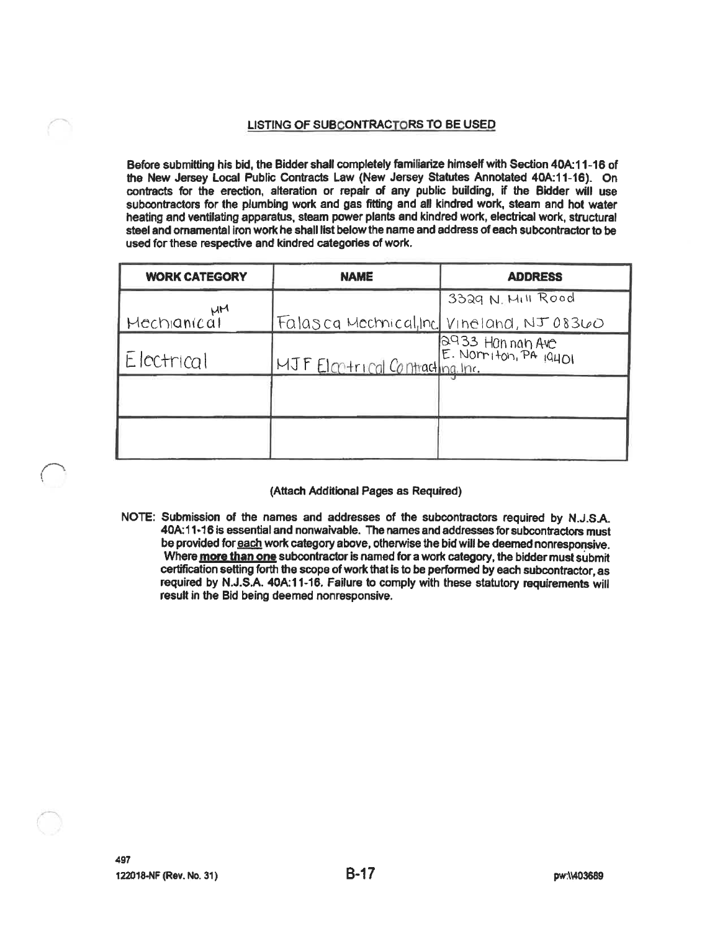## LISTING OF SUBCONTRACTORS TO BE USED

Before submitting his bid, the Bidder shall completely familiarize himself with Section 40A:11-16 of the New Jersey Local Public Contracts Law (New Jersey Statutes Annotated 40A:11-16). On contracts for the erection, alteration or repair of any public building, if the Bidder will use subcontractors for the plumbing work and gas fitting and all kindred work, steam and hot water heating and ventilating apparatus, steam power plants and kindred work, electrical work, structural steel and ornamental iron work he shall list below the name and address of each subcontractor to be used for these respective and kindred categories of work.

| <b>WORK CATEGORY</b> | <b>NAME</b>                     | <b>ADDRESS</b>                                                            |
|----------------------|---------------------------------|---------------------------------------------------------------------------|
| H <sup>1</sup>       |                                 | 3329 N. Mill Road                                                         |
| Mechianical          |                                 | Falasca Mechnical, Inc. Vineland, NJ 08340                                |
| <b>Electrical</b>    | MJF Elcotrical Contracting Inc. | $\begin{array}{ l l }\n\hline\n8933 H0n$ nah AVC<br>E. Norriton, PA 19401 |
|                      |                                 |                                                                           |
|                      |                                 |                                                                           |

## (Attach Additional Pages as Required)

NOTE: Submission of the names and addresses of the subcontractors required by N.J.S.A. 40A:11-16 is essential and nonwaivable. The names and addresses for subcontractors must be provided for each work category above, otherwise the bid will be deemed nonresponsive. Where more than one subcontractor is named for a work category, the bidder must submit certification setting forth the scope of work that is to be performed by each subcontractor, as required by N.J.S.A. 40A:11-16. Failure to comply with these statutory requirements will result in the Bid being deemed nonresponsive.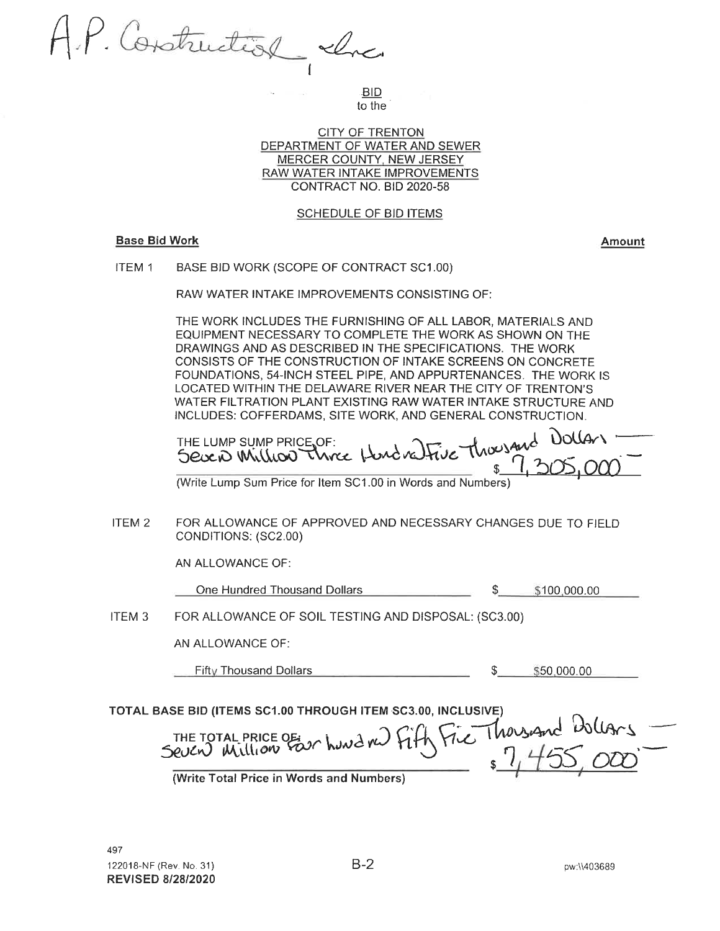P. Construction

**BID** to the

## **CITY OF TRENTON** DEPARTMENT OF WATER AND SEWER MERCER COUNTY, NEW JERSEY RAW WATER INTAKE IMPROVEMENTS CONTRACT NO. BID 2020-58

#### SCHEDULE OF BID ITEMS

#### **Base Bid Work**

Amount

ITEM<sub>1</sub> BASE BID WORK (SCOPE OF CONTRACT SC1.00)

RAW WATER INTAKE IMPROVEMENTS CONSISTING OF:

THE WORK INCLUDES THE FURNISHING OF ALL LABOR, MATERIALS AND EQUIPMENT NECESSARY TO COMPLETE THE WORK AS SHOWN ON THE DRAWINGS AND AS DESCRIBED IN THE SPECIFICATIONS. THE WORK CONSISTS OF THE CONSTRUCTION OF INTAKE SCREENS ON CONCRETE FOUNDATIONS, 54-INCH STEEL PIPE, AND APPURTENANCES. THE WORK IS LOCATED WITHIN THE DELAWARE RIVER NEAR THE CITY OF TRENTON'S WATER FILTRATION PLANT EXISTING RAW WATER INTAKE STRUCTURE AND INCLUDES: COFFERDAMS, SITE WORK, AND GENERAL CONSTRUCTION.

THE LUMP SUMP PRICE OF:<br>Seven Million Three Handre Five Thousand Dollars THE LUMP SUMP PRICE OF:

(Write Lump Sum Price for Item SC1.00 in Words and Numbers

FOR ALLOWANCE OF APPROVED AND NECESSARY CHANGES DUE TO FIELD ITEM<sub>2</sub> CONDITIONS: (SC2.00)

AN ALLOWANCE OF:

One Hundred Thousand Dollars  $^{\circ}$  $$100,000.00$ 

ITEM<sub>3</sub> FOR ALLOWANCE OF SOIL TESTING AND DISPOSAL: (SC3.00)

AN ALLOWANCE OF:

Fifty Thousand Dollars \$. \$50,000.00

TOTAL BASE BID (ITEMS SC1.00 THROUGH ITEM SC3.00, INCLUSIVE)

THE TOTAL PRICE OF WWW AND FIFTY FILE Thousiand Dollar

(Write Total Price in Words and Numbers)